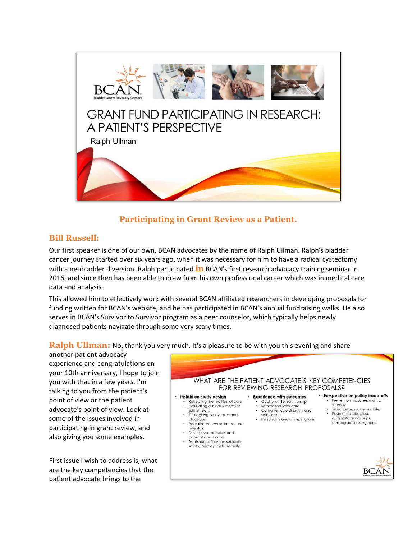

# **Participating in Grant Review as a Patient.**

### **Bill Russell:**

Our first speaker is one of our own, BCAN advocates by the name of Ralph Ullman. Ralph's bladder cancer journey started over six years ago, when it was necessary for him to have a radical cystectomy with a neobladder diversion. Ralph participated **in** BCAN's first research advocacy training seminar in 2016, and since then has been able to draw from his own professional career which was in medical care data and analysis.

This allowed him to effectively work with several BCAN affiliated researchers in developing proposals for funding written for BCAN's website, and he has participated in BCAN's annual fundraising walks. He also serves in BCAN's Survivor to Survivor program as a peer counselor, which typically helps newly diagnosed patients navigate through some very scary times.

**Ralph Ullman:** No, thank you very much. It's a pleasure to be with you this evening and share

another patient advocacy experience and congratulations on your 10th anniversary, I hope to join you with that in a few years. I'm talking to you from the patient's point of view or the patient advocate's point of view. Look at some of the issues involved in participating in grant review, and also giving you some examples.

First issue I wish to address is, what are the key competencies that the patient advocate brings to the

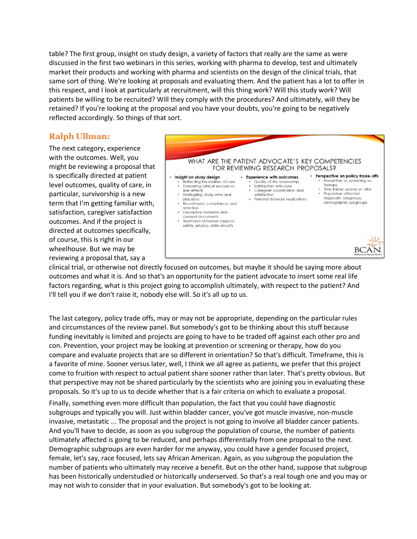table? The first group, insight on study design, a variety of factors that really are the same as were discussed in the first two webinars in this series, working with pharma to develop, test and ultimately market their products and working with pharma and scientists on the design of the clinical trials, that same sort of thing. We're looking at proposals and evaluating them. And the patient has a lot to offer in this respect, and I look at particularly at recruitment, will this thing work? Will this study work? Will patients be willing to be recruited? Will they comply with the procedures? And ultimately, will they be retained? If you're looking at the proposal and you have your doubts, you're going to be negatively reflected accordingly. So things of that sort.

#### **Ralph Ullman:**

The next category, experience with the outcomes. Well, you might be reviewing a proposal that is specifically directed at patient level outcomes, quality of care, in particular, survivorship is a new term that I'm getting familiar with, satisfaction, caregiver satisfaction outcomes. And if the project is directed at outcomes specifically, of course, this is right in our wheelhouse. But we may be reviewing a proposal that, say a



clinical trial, or otherwise not directly focused on outcomes, but maybe it should be saying more about outcomes and what it is. And so that's an opportunity for the patient advocate to insert some real life factors regarding, what is this project going to accomplish ultimately, with respect to the patient? And I'll tell you if we don't raise it, nobody else will. So it's all up to us.

The last category, policy trade offs, may or may not be appropriate, depending on the particular rules and circumstances of the review panel. But somebody's got to be thinking about this stuff because funding inevitably is limited and projects are going to have to be traded off against each other pro and con. Prevention, your project may be looking at prevention or screening or therapy, how do you compare and evaluate projects that are so different in orientation? So that's difficult. Timeframe, this is a favorite of mine. Sooner versus later, well, I think we all agree as patients, we prefer that this project come to fruition with respect to actual patient share sooner rather than later. That's pretty obvious. But that perspective may not be shared particularly by the scientists who are joining you in evaluating these proposals. So it's up to us to decide whether that is a fair criteria on which to evaluate a proposal.

Finally, something even more difficult than population, the fact that you could have diagnostic subgroups and typically you will. Just within bladder cancer, you've got muscle invasive, non-muscle invasive, metastatic ... The proposal and the project is not going to involve all bladder cancer patients. And you'll have to decide, as soon as you subgroup the population of course, the number of patients ultimately affected is going to be reduced, and perhaps differentially from one proposal to the next. Demographic subgroups are even harder for me anyway, you could have a gender focused project, female, let's say, race focused, lets say African American. Again, as you subgroup the population the number of patients who ultimately may receive a benefit. But on the other hand, suppose that subgroup has been historically understudied or historically underserved. So that's a real tough one and you may or may not wish to consider that in your evaluation. But somebody's got to be looking at.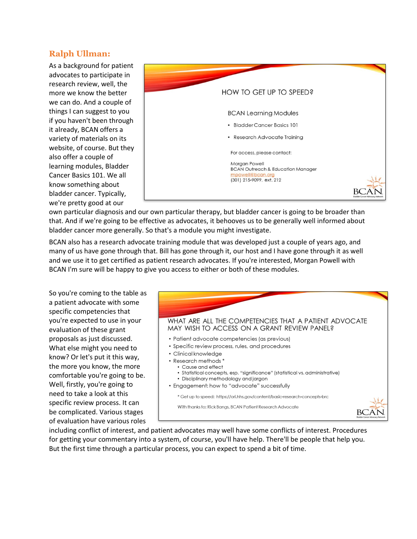#### **Ralph Ullman:**

As a background for patient advocates to participate in research review, well, the more we know the better we can do. And a couple of things I can suggest to you if you haven't been through it already, BCAN offers a variety of materials on its website, of course. But they also offer a couple of learning modules, Bladder Cancer Basics 101. We all know something about bladder cancer. Typically, we're pretty good at our



own particular diagnosis and our own particular therapy, but bladder cancer is going to be broader than that. And if we're going to be effective as advocates, it behooves us to be generally well informed about bladder cancer more generally. So that's a module you might investigate.

BCAN also has a research advocate training module that was developed just a couple of years ago, and many of us have gone through that. Bill has gone through it, our host and I have gone through it as well and we use it to get certified as patient research advocates. If you're interested, Morgan Powell with BCAN I'm sure will be happy to give you access to either or both of these modules.

So you're coming to the table as a patient advocate with some specific competencies that you're expected to use in your evaluation of these grant proposals as just discussed. What else might you need to know? Or let's put it this way, the more you know, the more comfortable you're going to be. Well, firstly, you're going to need to take a look at this specific review process. It can be complicated. Various stages of evaluation have various roles



including conflict of interest, and patient advocates may well have some conflicts of interest. Procedures for getting your commentary into a system, of course, you'll have help. There'll be people that help you. But the first time through a particular process, you can expect to spend a bit of time.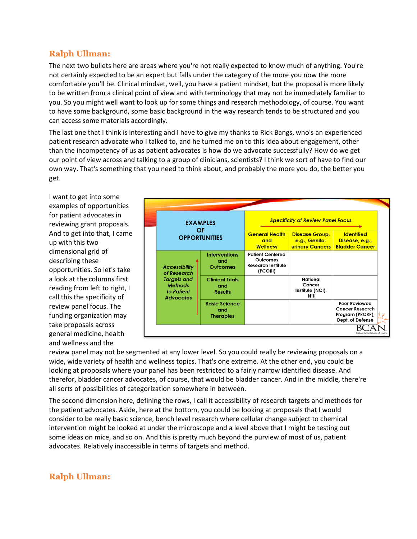#### **Ralph Ullman:**

The next two bullets here are areas where you're not really expected to know much of anything. You're not certainly expected to be an expert but falls under the category of the more you now the more comfortable you'll be. Clinical mindset, well, you have a patient mindset, but the proposal is more likely to be written from a clinical point of view and with terminology that may not be immediately familiar to you. So you might well want to look up for some things and research methodology, of course. You want to have some background, some basic background in the way research tends to be structured and you can access some materials accordingly.

The last one that I think is interesting and I have to give my thanks to Rick Bangs, who's an experienced patient research advocate who I talked to, and he turned me on to this idea about engagement, other than the incompetency of us as patient advocates is how do we advocate successfully? How do we get our point of view across and talking to a group of clinicians, scientists? I think we sort of have to find our own way. That's something that you need to think about, and probably the more you do, the better you get.

I want to get into some examples of opportunities for patient advocates in reviewing grant proposals. And to get into that, I came up with this two dimensional grid of describing these opportunities. So let's take a look at the columns first reading from left to right, I call this the specificity of review panel focus. The funding organization may take proposals across general medicine, health and wellness and the



review panel may not be segmented at any lower level. So you could really be reviewing proposals on a wide, wide variety of health and wellness topics. That's one extreme. At the other end, you could be looking at proposals where your panel has been restricted to a fairly narrow identified disease. And therefor, bladder cancer advocates, of course, that would be bladder cancer. And in the middle, there're all sorts of possibilities of categorization somewhere in between.

The second dimension here, defining the rows, I call it accessibility of research targets and methods for the patient advocates. Aside, here at the bottom, you could be looking at proposals that I would consider to be really basic science, bench level research where cellular change subject to chemical intervention might be looked at under the microscope and a level above that I might be testing out some ideas on mice, and so on. And this is pretty much beyond the purview of most of us, patient advocates. Relatively inaccessible in terms of targets and method.

# **Ralph Ullman:**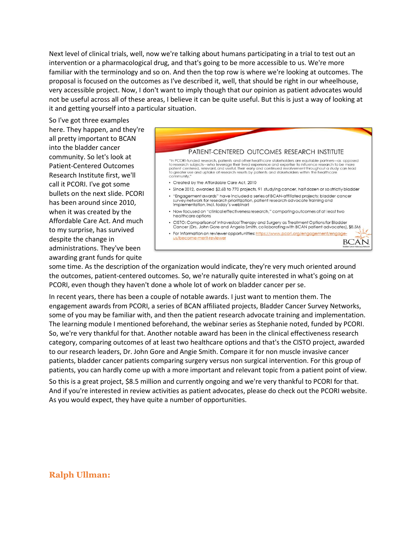Next level of clinical trials, well, now we're talking about humans participating in a trial to test out an intervention or a pharmacological drug, and that's going to be more accessible to us. We're more familiar with the terminology and so on. And then the top row is where we're looking at outcomes. The proposal is focused on the outcomes as I've described it, well, that should be right in our wheelhouse, very accessible project. Now, I don't want to imply though that our opinion as patient advocates would not be useful across all of these areas, I believe it can be quite useful. But this is just a way of looking at it and getting yourself into a particular situation.

So I've got three examples here. They happen, and they're all pretty important to BCAN into the bladder cancer community. So let's look at Patient-Centered Outcomes Research Institute first, we'll call it PCORI. I've got some bullets on the next slide. PCORI has been around since 2010, when it was created by the Affordable Care Act. And much to my surprise, has survived despite the change in administrations. They've been awarding grant funds for quite



some time. As the description of the organization would indicate, they're very much oriented around the outcomes, patient-centered outcomes. So, we're naturally quite interested in what's going on at PCORI, even though they haven't done a whole lot of work on bladder cancer per se.

In recent years, there has been a couple of notable awards. I just want to mention them. The engagement awards from PCORI, a series of BCAN affiliated projects, Bladder Cancer Survey Networks, some of you may be familiar with, and then the patient research advocate training and implementation. The learning module I mentioned beforehand, the webinar series as Stephanie noted, funded by PCORI. So, we're very thankful for that. Another notable award has been in the clinical effectiveness research category, comparing outcomes of at least two healthcare options and that's the CISTO project, awarded to our research leaders, Dr. John Gore and Angie Smith. Compare it for non muscle invasive cancer patients, bladder cancer patients comparing surgery versus non surgical intervention. For this group of patients, you can hardly come up with a more important and relevant topic from a patient point of view.

So this is a great project, \$8.5 million and currently ongoing and we're very thankful to PCORI for that. And if you're interested in review activities as patient advocates, please do check out the PCORI website. As you would expect, they have quite a number of opportunities.

#### **Ralph Ullman:**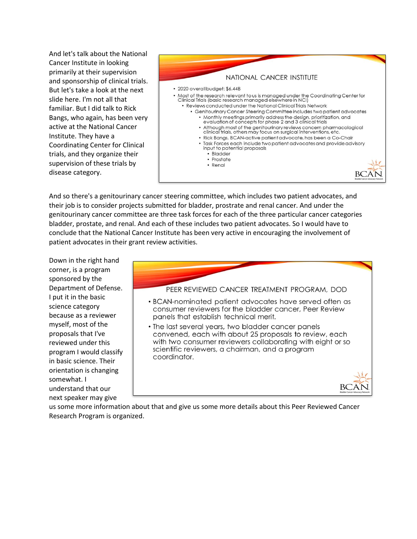And let's talk about the National Cancer Institute in looking primarily at their supervision and sponsorship of clinical trials. But let's take a look at the next slide here. I'm not all that familiar. But I did talk to Rick Bangs, who again, has been very active at the National Cancer Institute. They have a Coordinating Center for Clinical trials, and they organize their supervision of these trials by disease category.



And so there's a genitourinary cancer steering committee, which includes two patient advocates, and their job is to consider projects submitted for bladder, prostrate and renal cancer. And under the genitourinary cancer committee are three task forces for each of the three particular cancer categories bladder, prostate, and renal. And each of these includes two patient advocates. So I would have to conclude that the National Cancer Institute has been very active in encouraging the involvement of patient advocates in their grant review activities.

Down in the right hand corner, is a program sponsored by the Department of Defense. I put it in the basic science category because as a reviewer myself, most of the proposals that I've reviewed under this program I would classify in basic science. Their orientation is changing somewhat. I understand that our next speaker may give



us some more information about that and give us some more details about this Peer Reviewed Cancer Research Program is organized.